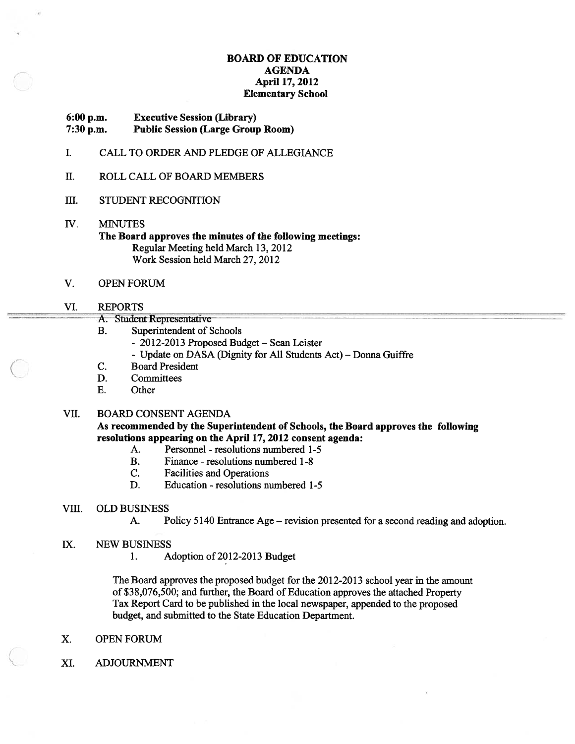#### BOARD OF EDUCATION AGENDA April 17, 2012 Elementary School

# 6:00 p.m. Executive Session (Library)

7:30 p.m. Public Session (Large Group Room)

- I. CALL TO ORDER AND PLEDGE OF ALLEGIANCE
- II. ROLL CALL OF BOARD MEMBERS
- III. STUDENT RECOGNITION
- IV. MINUTES The Board approves the minutes of the following meetings: Regular Meeting held March 13, 2012 Work Session held March 27, 2012
- V. OPEN FORUM

#### VI. REPORTS

- A. Student Representative
- B. Superintendent of Schools
	- 2012-2013 Proposed Budget Sean Leister
	- Update on DASA (Dignity for All Students Act) Donna Guiffre
- C. Board President
- D. Committees
- E. Other

### VII. BOARD CONSENT AGENDA

As recommended by the Superintendent of Schools, the Board approves the following resolutions appearing on the April 17, 2012 consent agenda:

- A. Personnel resolutions numbered 1-5
- B. Finance resolutions numbered 1-8
- C. Facilities and Operations
- D. Education resolutions numbered 1-5

#### VIII. OLD BUSINESS

- A. Policy 5140 Entrance Age revision presented for <sup>a</sup> second reading and adoption.
- IX. NEW BUSINESS
	- 1. Adoption of 2012-2013 Budget

The Board approves the proposed budget for the 2012-2013 school year in the amount of \$38,076,500; and further, the Board of Education approves the attached Property Tax Report Card to be published in the local newspaper, appended to the proposed budget, and submitted to the State Education Department.

- X. OPEN FORUM
- XI. ADJOURNMENT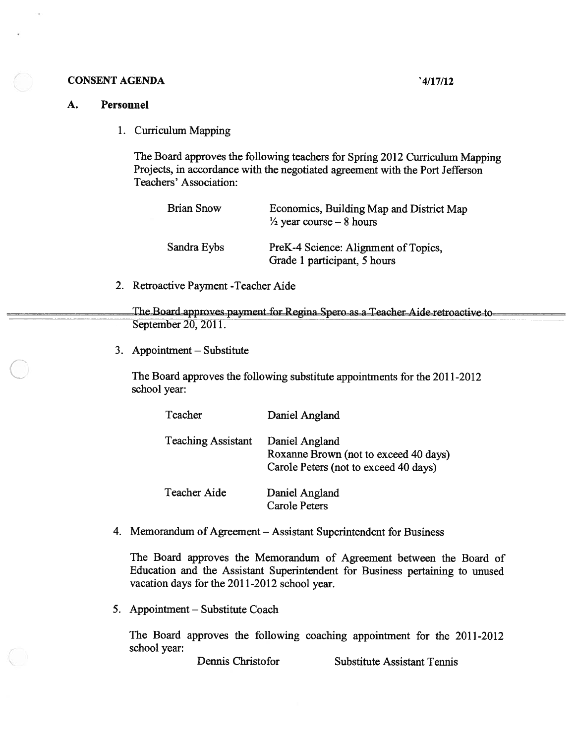#### CONSENT AGENDA '4/17/12

#### A. Personnel

| <b>AGENDA</b>                         | '4/17/12                                                                                                                                                      |
|---------------------------------------|---------------------------------------------------------------------------------------------------------------------------------------------------------------|
| sonnel                                |                                                                                                                                                               |
| 1. Curriculum Mapping                 |                                                                                                                                                               |
| Teachers' Association:                | The Board approves the following teachers for Spring 2012 Curriculum Mapping<br>Projects, in accordance with the negotiated agreement with the Port Jefferson |
| <b>Brian Snow</b>                     | Economics, Building Map and District Map<br>$\frac{1}{2}$ year course – 8 hours                                                                               |
| Sandra Eybs                           | PreK-4 Science: Alignment of Topics,<br>Grade 1 participant, 5 hours                                                                                          |
| 2. Retroactive Payment - Teacher Aide |                                                                                                                                                               |

The Board approves payment for Regina Spero as a Teacher Aide retroactive to-September 20, 2011.

3. Appointment — Substitute

The Board approves the following substitute appointments for the 2011-2012 school year:

| Teacher                   | Daniel Angland                                                                                   |
|---------------------------|--------------------------------------------------------------------------------------------------|
| <b>Teaching Assistant</b> | Daniel Angland<br>Roxanne Brown (not to exceed 40 days)<br>Carole Peters (not to exceed 40 days) |
| <b>Teacher Aide</b>       | Daniel Angland<br><b>Carole Peters</b>                                                           |

4. Memorandum of Agreement — Assistant Superintendent for Business

The Board approves the Memorandum of Agreement between the Board of Education and the Assistant Superintendent for Business pertaining to unused vacation days for the 2011-2012 school year.

5. Appointment — Substitute Coach

The Board approves the following coaching appointment for the 2011-2012 school year:

Dennis Christofor Substitute Assistant Tennis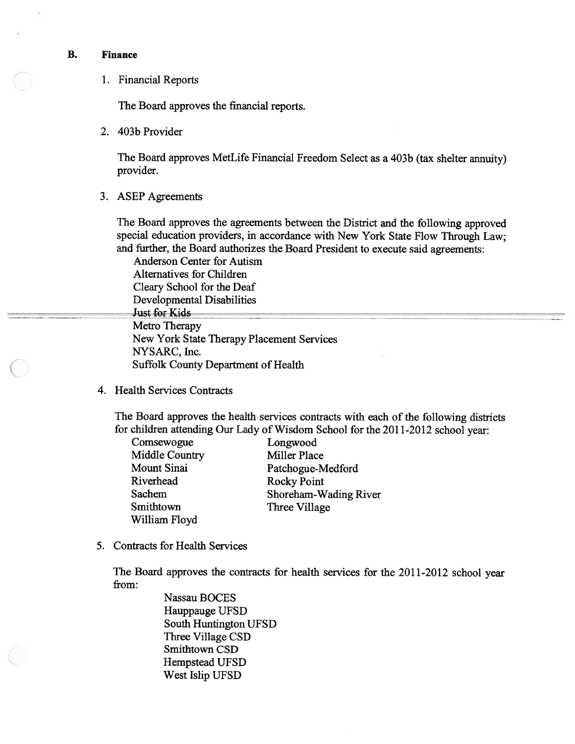#### B. Finance

1. Financial Reports

The Board approves the financial reports.

2. 403b Provider

The Board approves MetLife Financial Freedom Select as <sup>a</sup> 403b (tax shelter annuity) provider.

3. ASEP Agreements

The Board approves the agreements between the District and the following approve<sup>d</sup> special education providers, in accordance with New York State Flow Through Law; and further, the Board authorizes the Board President to execute said agreements: 3b (tax shelter annuity)<br>the following approved<br>tte Flow Through Law;<br>e said agreements:

e<br>
e<br>
ancial Reports<br>
e Board approves the financ<br>
b Provider<br>
e Board approves MetLife I<br>
vider.<br>
EP Agreements<br>
e Board approves the agree<br>
cial education providers, in<br>
further, the Board authoriz<br>
Anderson Center for A Anderson Center for Autism Alternatives for Children Cleary School for the Deaf **Just for Kids** Metro Therapy New York State Therapy Placement Services NYSARC, Inc. Suffolk County Department of Health

4. Health Services Contracts

The Board approves the health services contracts with each of the following districts for children attending Our Lady of Wisdom School for the 2011-2012 school year:

| Comsewogue         |  |
|--------------------|--|
| Middle Country     |  |
| <b>Mount Sinai</b> |  |
| Riverhead          |  |
| Sachem             |  |
| Smithtown          |  |
| William Floyd      |  |

Longwood Miller Place Patchogue-Medford Rocky Point Shoreham-Wading River Three Village

5. Contracts for Health Services

The Board approves the contracts for health services for the 2011-2012 school year from:

> Nassau BOCES Hauppauge UFSD South Huntington UFSD Three Village CSD Smithtown CSD Hempstead UFSD West Islip UFSD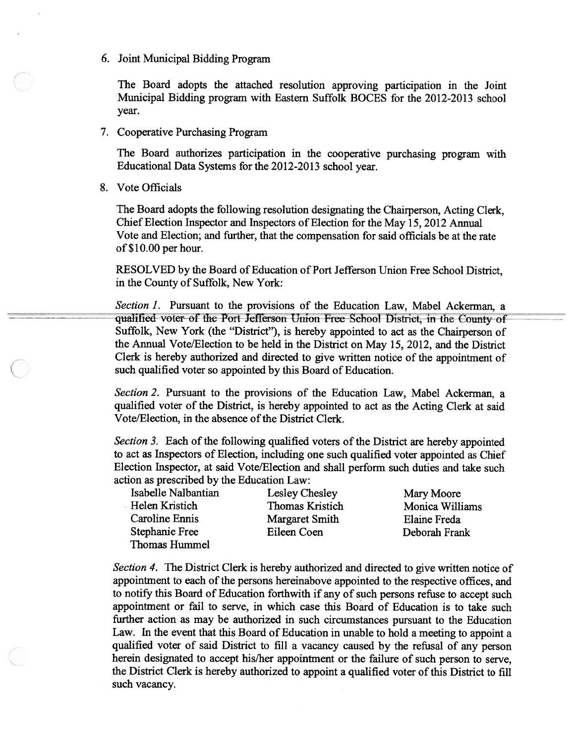6. Joint Municipal Bidding Program

The Board adopts the attached resolution approving participation in the Joint Municipal Bidding program with Eastern Suffolk BOCES for the 2012-2013 school year.

7. Cooperative Purchasing Program

The Board authorizes participation in the cooperative purchasing program with Educational Data Systems for the 2012-2013 school year.

8. Vote Officials

The Board adopts the following resolution designating the Chairperson, Acting Clerk, Chief Election Inspector and Inspectors of Election for the May 15, 2012 Annual Vote and Election; and further, that the compensation for said officials be at the rate of \$10.00 per hour.

RESOLVED by the Board of Education of Port Jefferson Union Free School District, in the County of Suffolk, New York:

Section 1. Pursuant to the provisions of the Education Law, Mabel Ackerman, a qualified voter of the Port Jefferson Union Free Sehool District, in the County of Suffolk, New York (the "District"), is hereby appointed to act as the Chairperson of the Annual Vote/Election to be held in the District on May 15, 2012, and the District Clerk is hereby authorized and directed to <sup>g</sup>ive written notice of the appointment of such qualified voter so appointed by this Board of Education.

Section 2. Pursuant to the provisions of the Education Law, Mabel Ackerman, a qualified voter of the District, is hereby appointed to act as the Acting Clerk at said Vote/Election, in the absence of the District Clerk.

Section 3. Each of the following qualified voters of the District are hereby appointed to act as Inspectors of Election, including one such qualified voter appointed as Chief Election Inspector, at said Vote/Election and shall perform such duties and take such action as prescribed by the Education Law:

Helen Kristich Thomas Kristich Monica Williams Caroline Ennis Margaret Smith Elaine Freda Stephanie Free Eileen Coen Deborah Frank Thomas Hummel

Isabelle Nalbantian Lesley Chesley Mary Moore

Section 4. The District Clerk is hereby authorized and directed to give written notice of appointment to each of the persons hereinabove appointed to the respective offices, and to notify this Board of Education forthwith if any of such persons refuse to accep<sup>t</sup> such appointment or fail to serve, in which case this Board of Education is to take such further action as may be authorized in such circumstances pursuan<sup>t</sup> to the Education Law. In the event that this Board of Education in unable to hold <sup>a</sup> meeting to appoint <sup>a</sup> qualified voter of said District to fill <sup>a</sup> vacancy caused by the refusal of any person herein designated to accep<sup>t</sup> his/her appointment or the failure of such person to serve, the District Clerk is hereby authorized to appoint <sup>a</sup> qualified voter of this District to fill such vacancy.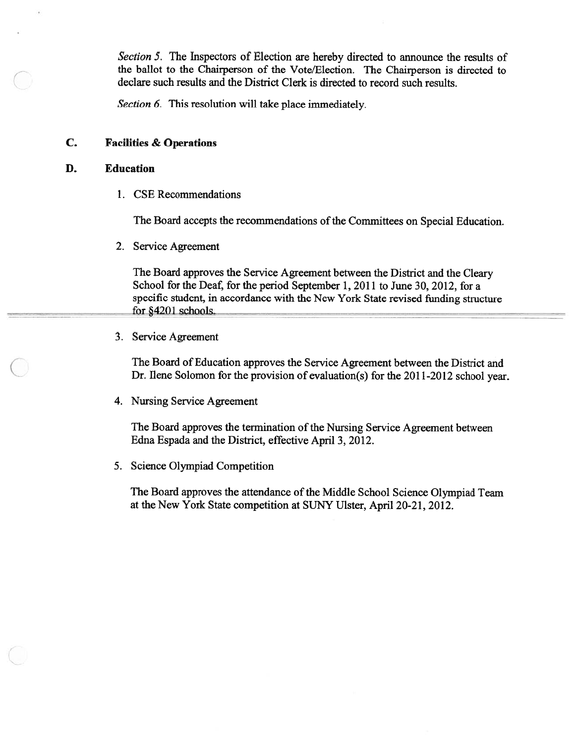Section 5. The Inspectors of Election are hereby directed to announce the results of the ballot to the Chairperson of the Vote/Election. The Chairperson is directed to declare such results and the District Clerk is directed to record such results. order the magnetic student in accordance with New York State revised to the Scharf state student state student state student state student in a Charge student of 6. This resolution will take place immediately.<br>
ties & Oper

Section 6. This resolution will take place immediately.

## C. Facilities & Operations

#### D. Education

1. CSE Recommendations

The Board accepts the recommendations of the Committees on Special Education.

2. Service Agreement

The Board approves the Service Agreement between the District and the Cleary School for the Deaf, for the period September 1, 2011 to June 30, 2012, for <sup>a</sup> for §4201 schools.

3. Service Agreement

The Board of Education approves the Service Agreement between the District and Dr. Ilene Solomon for the provision of evaluation(s) for the 2011-2012 school year.

4. Nursing Service Agreement

The Board approves the termination of the Nursing Service Agreement between Edna Espada and the District, effective April 3, 2012.

5. Science Olympiad Competition

The Board approves the attendance of the Middle School Science Olympiad Team at the New York State competition at SIJNY Ulster, April 20-21, 2012.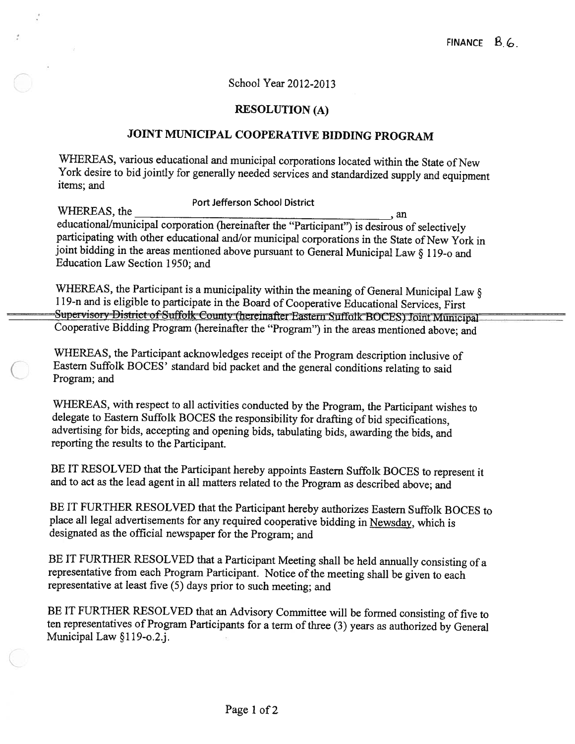# School Year 2012-2013

# RESOLUTION (A)

# JOINT MUNICIPAL COOPERATIVE BIDDING PROGRAM

WHEREAS, various educational and municipal corporations located within the State of New York desire to bid jointly for generally needed services and standardized supply and equipment items; and

Port Jefferson School District WHEREAS, the writercally the ducational/municipal corporation (hereinafter the "Participant") is desirous of selectively participating with other educational and/or municipal corporations in the State of New York in joint bidding in the areas mentioned above pursuant to General Municipal Law § <sup>1</sup> 19-o and Education Law Section 1950; and FINANCE B. 6.<br>
School Year 2012-2013<br>
RESOLUTION (A)<br>
JOINT MUNICIPAL COOPERATIVE BIDDING PROGRAM<br>
WHEREAS, various educational and municipal corporations located within the State of New<br>
York desire to bid jointly for ge

WHEREAS, the Participant is a municipality within the meaning of General Municipal Law § 119-n and is eligible to participate in the Board of Cooperative Educational Services, First Supervisory District of Suffolk County (

WHEREAS, the Participant acknowledges receipt of the Program description inclusive of Eastern Suffolk BOCES' standard bid packet and the general conditions relating to said Program; and

WHEREAS, with respect to all activities conducted by the Program, the Participant wishes to delegate to Eastern Suffolk BOCES the responsibility for drafting of bid specifications, advertising for bids, accepting and opening bids, tabulating bids, awarding the bids, and reporting the results to the Participant.

BE IT RESOLVED that the Participant hereby appoints Eastern Suffolk BOCES to represent it and to act as the lead agent in all matters related to the Program as described above; and

BE IT FURTHER RESOLVED that the Participant hereby authorizes Eastern Suffolk BOCES to <sup>p</sup>lace all legal advertisements for any required cooperative bidding in Newsday, which is designated as the official newspaper for the Program; and

BE IT FURTHER RESOLVED that <sup>a</sup> Participant Meeting shall be held annually consisting of <sup>a</sup> representative from each Program Participant. Notice of the meeting shall be given to each representative at least five (5) days prior to such meeting; and

BE IT FURTHER RESOLVED that an Advisory Committee will be formed consisting of five to ten representatives of Program Participants for <sup>a</sup> term of three (3) years as authorized by General Municipal Law §119-o.2.j.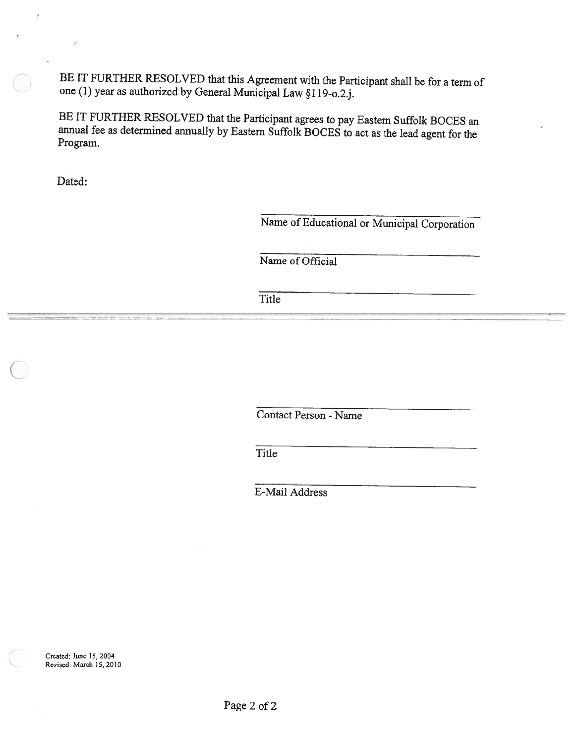BE IT FURTHER RESOLVED that this Agreement with the Participant shall be for <sup>a</sup> term of one (1) year as authorized by General Municipal Law §1 19-o.2.j.

BE IT FURTHER RESOLVED that the Participant agrees to pay Eastern Suffolk BOCES an annual fee as determined annually by Eastern Suffolk BOCES to act as the lead agen<sup>t</sup> for the Program.

Dated:

 $\bar{I}$ 

Name of Educational or Municipal Corporation

Name of Official

Title

Contact Person - Name

Title

E-Mail Address

Created; June 15, 2004 Revised: March 15, 2010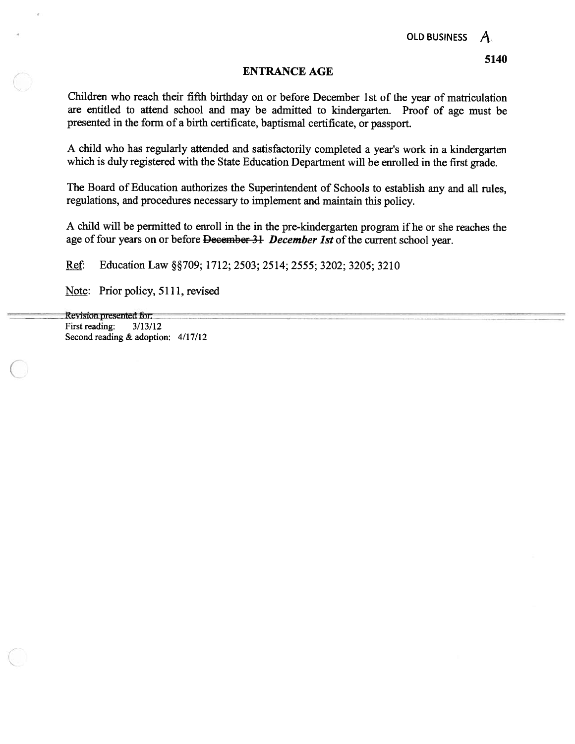#### ENTRANCE AGE

Children who reach their fifth birthday on or before December 1St of the year of matriculation are entitled to attend school and may be admitted to kindergarten. Proof of age must be presented in the form of <sup>a</sup> birth certificate, baptismal certificate, or passport.

<sup>A</sup> child who has regularly attended and satisfactorily completed <sup>a</sup> year's work in <sup>a</sup> kindergarten which is duly registered with the State Education Department will be enrolled in the first grade.

The Board of Education authorizes the Superintendent of Schools to establish any and all rules, regulations, and procedures necessary to implement and maintain this policy.

<sup>A</sup> child will be permitted to enroll in the in the pre-kindergarten program if he or she reaches the age of four years on or before December 31 December 1st of the current school year.

Ref: Education Law §§709; 1712; 2503; 2514; 2555; 3202; 3205; 3210

Note: Prior policy, 5111, revised

Revision presented for: First reading: 3/13/12 Second reading & adoption: 4/17/12